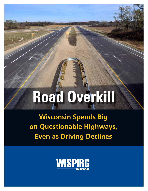# **Road Overkill**

**Wisconsin Spends Big on Questionable Highways, Even as Driving Declines**

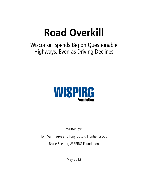## **Road Overkill**

Wisconsin Spends Big on Questionable Highways, Even as Driving Declines



Written by:

Tom Van Heeke and Tony Dutzik, Frontier Group Bruce Speight, WISPIRG Foundation

May 2013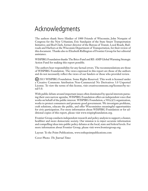## Acknowledgments

The authors thank Steve Hiniker of 1000 Friends of Wisconsin; John Norquist of Congress for the New Urbanism; Eric Sundquist of the State Smart Transportation Initiative; and Rod Clark, former director of the Bureau of Transit, Local Roads, Railroads and Harbors at the Wisconsin Department of Transportation, for their review of this document. Thanks also to Elizabeth Ridlington of Frontier Group for her editorial assistance.

WISPIRG Foundation thanks The Brico Fund and RE-AMP Global Warming Strategic Action Fund for making this report possible.

The authors bear responsibility for any factual errors. The recommendations are those of WISPIRG Foundation. The views expressed in this report are those of the authors and do not necessarily reflect the views of our funders or those who provided review.

2013 WISPIRG Foundation. Some Rights Reserved. This work is licensed under a Creative Commons Attribution Non-Commercial No Derivatives 3.0 Unported License. To view the terms of this license, visit creativecommons.org/licenses/by-ncnd/3.0.

With public debate around important issues often dominated by special interests pursuing their own narrow agendas, WISPIRG Foundation offers an independent voice that works on behalf of the public interest. WISPIRG Foundation, a 501(c)(3) organization, works to protect consumers and promote good government. We investigate problems, craft solutions, educate the public, and offer Wisconsinites meaningful opportunities for civic participation. For more information about WISPIRG Foundation or for additional copies of this report, please visit www.wispirgfoundation.org.

Frontier Group conducts independent research and policy analysis to support a cleaner, healthier and more democratic society. Our mission is to inject accurate information and compelling ideas into public policy debates at the local, state and federal levels. For more information about Frontier Group, please visit www.frontiergroup.org.

Layout: To the Point Publications, www.tothepointpublications.com

Cover Photo: *The Journal Times*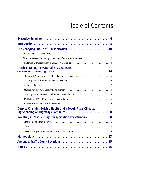## Table of Contents

| Wisconsinites Are Increasingly Looking for Transportation Choices 11 |
|----------------------------------------------------------------------|
|                                                                      |
| <b>Traffic Is Failing to Materialize as Expected</b>                 |
| Interstate 39/U.S. Highway 51/State Highway 29 in Wausau  15         |
|                                                                      |
|                                                                      |
|                                                                      |
| State Highway 64 between Houlton and New Richmond23                  |
|                                                                      |
|                                                                      |
| <b>Despite Changing Driving Habits and a Tough Fiscal Climate,</b>   |
| Investing in 21st Century Transportation Infrastructure 30           |
|                                                                      |
|                                                                      |
|                                                                      |
|                                                                      |
|                                                                      |
|                                                                      |
|                                                                      |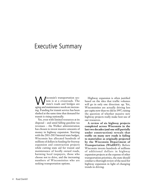## Executive Summary

Wisconsin's transportation sys-<br>tem is at a crossroads. The<br>state's roads and bridges are tem is at a crossroads. The state's roads and bridges are aging and maintenance needs are increasing. Funding for transit service has been slashed at the same time that demand for transit is rising nationally.

Yet, even with limited resources at its disposal – and amid falling gasoline tax revenues – the Walker administration has chosen to invest massive amounts of money in highway expansion. Starting with the 2011-2013 biennial state budget, Wisconsin has allocated hundreds of millions of dollars in funding for freeway expansion and construction projects while cutting state aid for transit and maintenance of locally owned roads, harming local taxpayers, those who choose not to drive, and the increasing numbers of Wisconsinites who are seeking transportation options.

Highway expansion is often justified based on the idea that traffic volumes will go in only one direction: up. Yet, Wisconsinites are actually driving less per capita now than we did in 1997, raising the question of whether massive new highway projects really make best use of our resources.

**A review of six highway projects completed across Wisconsin in the last two decades (and one still partially under construction) reveals that traffic on many new roads is failing to materialize as originally projected by the Wisconsin Department of Transportation (WisDOT)**. Before Wisconsin invests hundreds of millions of additional dollars in highway expansion projects at the expense of other transportation priorities, the state should conduct a thorough review of the need for highway expansion in light of changing trends in driving.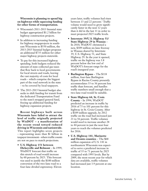#### **Wisconsin is planning to spend big on highways while squeezing funding for other forms of transportation.**

- Wisconsin's 2011-2013 biennial state budget appropriated \$1.2 billion for highway construction projects.
- In addition to increasing funding for highway megaprojects in southeast Wisconsin to \$550 million, the 2013-2015 biennial budget proposes an additional \$735 million for other major highway projects statewide.
- To pay for this increased highway spending, both budgets reduced the amount of state-collected gas taxes that flow back to local governments for local streets and roads, leaving the vast majority of costs for local roads – which comprise the biggest part of the road network in the state – to be covered by local taxpayers.
- The 2013-2015 biennial budget also seeks to shift funding for transit from the dedicated Transportation Fund to the state's strapped general fund, freeing up additional funding for highway expansion projects.

**Recent highways built across Wisconsin have failed to attract the level of traffic originally projected by WisDOT – a manifestation of the recent trend toward reduced driving in Wisconsin and nationwide.**  This report highlights seven projects – representing more than \$1 billion in taxpayer investment – where traffic counts are not on pace to match projections.

**• U.S. Highway 151 between Dickeyville and Belmont** – In 1999, WisDOT forecast that traffic on this stretch of road would increase by 60 percent by 2025. This forecast was used to justify the \$100 million conversion of the two-lane road to a four-lane divided expressway. Eleven

years later, traffic volumes had risen between 13 and 22 percent.<sup>1</sup> Traffic volume would need to grow significantly faster in the next 12 years than it did in the last 11 in order to meet projected 2025 traffic levels.

- **• Interstate 39/U.S. Highway 51/ State Highway 29 in Wausau** – In 2010, WisDOT christened a new, \$309 million six-lane freeway in Wausau shared by Interstate 39, U.S. Highway 51, and State Highway 29. In the year it opened, traffic on the highway was 3.8 percent below the low end of WisDOT's forecast range for the road's inaugural year.
- **• Burlington Bypass**  The \$118 million, four-lane Burlington Bypass in Racine County presently accommodates 33 to 36 percent less traffic than forecast, and handles traffic numbers small enough that a two-lane road would be suitable.
- **• State Highway 64, St. Croix County** – In 1994, WisDOT predicted an increase in traffic by 2016 of 75 to 101 percent for this highway in St. Croix County. After a \$109 million upgrade, by 2012 traffic on the road had increased just 21 to 56 percent. Traffic volumes would need to increase another 28 to 44 percent in just the next four years to reach the volumes predicted for 2016.
- **• U.S. Highway 141, Marinette and Oconto counties** – The \$68 million expansion of U.S. 141 in northeastern Wisconsin was expected to serve a predicted increase in traffic of 35 to 71 percent by 2025 compared with 1995 levels. But by 2009, the most recent year for which data are available, traffic volumes had increased just 3.9 percent at one location.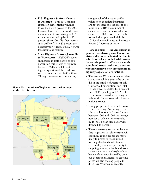- **• U.S. Highway 41 from Oconto to Peshtigo** – This \$180 million expansion serves traffic volumes lower than were projected for 2007. Even on busier stretches of the road, the number of cars driving on U.S. 41 has only inched up by 8 to 12 percent since 2001. Further increases in traffic of 28 to 40 percent are necessary for WisDOT's 2027 traffic forecasts to be realized.
- **• State Highway 26 from Janesville to Watertown** – WisDOT expects an increase in traffic of 85 to 300 percent on this stretch of highway between 1998 and 2028, justifying an expansion of the road that will cost an estimated \$433 million. Though construction is underway

#### **Figure ES-1. Location of highway construction projects studied in this report**



along much of the route, traffic volumes on completed portions are not meeting projections: at one location in 2010, the number of cars was 21 percent below what was expected in 2008. For traffic levels to reach their predicted highs by 2028, volumes will need to increase a further 77 percent or more.

**Wisconsinites – like Americans in general – are driving less. The recent, historically unprecedented decline in vehicle travel – coupled with lowerthan-anticipated traffic on recently completed roads – calls into question whether massive new investments in highway expansion are justified.** 

- The average Wisconsinite now drives about as much in a year as he or she did in the middle of President Bill Clinton's administration, and total vehicle travel has fallen by 3 percent since 2004. (See Figure ES-2.) The recent trend toward less driving in Wisconsin is consistent with broader national trends.
- Young people lead the trend toward reduced driving. According to the National Household Travel Survey, between 2001 and 2009 the average number of vehicle-miles traveled by 16- to 34-year-olds nationwide dropped 23 percent.
- There are strong reasons to believe that stagnation in vehicle travel will continue. Young people are more likely to prefer to live in mixeduse neighborhoods with transit accessibility and close proximity to shopping, dining, schools and work rather than the sprawl-style suburban developments favored by previous generations. Increased gasoline prices are also causing people to drive less. Wisconsin's recently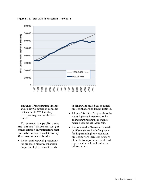

**Figure ES-2. Total VMT in Wisconsin, 1980-2011**

convened Transportation Finance and Policy Commission concedes that statewide VMT is likely to remain stagnant for the next decade.

**To protect the public purse and ensure Wisconsinites get transportation infrastructure that meets the needs of the 21st century, Wisconsin officials should:** 

• Revisit traffic growth projections for proposed highway expansion projects in light of recent trends

in driving and scale back or cancel projects that are no longer justified.

- Adopt a "fix it first" approach to the state's highway infrastructure by addressing pressing road maintenance needs across Wisconsin.
- Respond to the 21st-century needs of Wisconsinites by shifting some funding from highway expansion projects toward increased support of public transportation, local road repair, and bicycle and pedestrian infrastructure.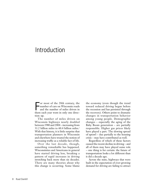## Introduction

For most of the 20th century, the<br>
number of cars on Wisconsin roads<br>
and the number of miles driven in<br>
them seek wear went in only one dines number of cars on Wisconsin roads and the number of miles driven in them each year went in only one direction: up.

The number of miles driven on Wisconsin highways nearly doubled between 1980 and 2004 – increasing from 31.2 billion miles to 60.4 billion miles.2 With that history, it is little surprise that transportation planners in Wisconsin and elsewhere have treated the notion of increasing traffic as a reliable fact of life.

Over the last decade, though, something remarkable has happened. Wisconsinites and Americans in general have started driving less, breaking a pattern of rapid increases in driving stretching back more than six decades. There are many theories about why this change is occurring. Some blame the economy (even though the trend toward reduced driving began before the recession and has persisted through the recovery). Others point to dramatic changes in transportation behavior among young people. Demographic changes – especially the aging of the Baby Boom generation – are partially responsible. Higher gas prices likely have played a part. The slowing spread of sprawl – due partially to the housing crisis – may have contributed as well.

Regardless of which of these factors caused the recent decline in driving – and all of them may have played some role – one thing is for certain: the future of transportation looks a lot different than it did a decade ago.

Across the state, highways that were built in the expectation of ever-growing demand for driving are failing to attract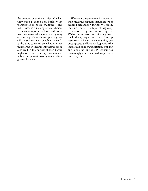the amount of traffic anticipated when they were planned and built. With transportation needs changing – and with Wisconsin making critical choices about its transportation future – the time has come to reevaluate whether highway expansion projects planned years ago are still a wise investment of public money. It is also time to reevaluate whether other transportation investments that would be sacrificed in the pursuit of even bigger highways – such as improvements in public transportation – might not deliver greater benefits.

Wisconsin's experience with recentlybuilt highways suggests that, in an era of reduced demand for driving, Wisconsin may not need the type of highway expansion program favored by the Walker administration. Scaling back on highway expansions may free up resources to invest in maintaining our existing state and local roads, provide the improved public transportation, walking and bicycling options Wisconsinites increasingly desire, and reduce pressure on taxpayers.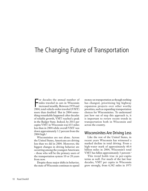## The Changing Future of Transportation

For decades the annual number of<br>miles traveled in cars in Wisconsin<br>increased steadily. Between 1970 and<br>2004, total vehicle-miles traveled (VMT) or decades the annual number of miles traveled in cars in Wisconsin increased steadily. Between 1970 and more than doubled.<sup>3</sup> But in 2004 something remarkable happened: after decades of reliable growth, VMT reached a peak in the Badger State. Indeed, by 2011 per capita VMT in Wisconsin was 633 miles less than in 2004 while overall VMT was down approximately 3.2 percent from the 2004 high.<sup>4</sup>

Wisconsinites are not alone. Across the United States, Americans are driving less than we did in 2004. Moreover, the biggest changes in driving behavior are occurring among the youngest Americans – those who will be the primary users of the transportation system 10 or 20 years from now.

Despite these major shifts in behavior, the state of Wisconsin continues to spend

money on transportation as though nothing has changed, prioritizing big highway expansion projects over other worthy priorities, such as expanding transportation choices for Wisconsinites. To understand just how out of step this approach is, it is important to review recent trends in transportation both in Wisconsin and across the country.

#### Wisconsinites Are Driving Less

Like the rest of the United States, in recent years Wisconsin has witnessed a marked decline in total driving. From a high-water mark of approximately 60.4 billion miles in 2004, Wisconsin's total VMT has fallen approximately 3 percent.<sup>5</sup>

This trend holds true in per-capita terms as well. For much of the last four decades, VMT per capita in Wisconsin grew strongly, from 6,382 miles in 1973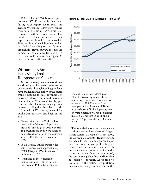to 10,916 miles in 2004. In recent years, however, VMT per capita has been falling. (See Figure 1.) In 2011, the average Wisconsinite drove fewer miles than he or she did in 1997. This is all consistent with a national trend. The number of vehicle-miles traveled per capita in the United States peaked in 2004, while total vehicle travel peaked in 2007.<sup>6</sup> According to the National Household Travel Survey, the average number of vehicle-miles traveled by 16 to 34 year-olds nationwide dropped 23 percent between 2001 and 2009.<sup>7</sup>

#### Wisconsinites Are Increasingly Looking for Transportation Choices

Across the state, many Wisconsinites are showing an increased desire to use public transit, although funding problems have challenged the ability of the state's transit systems to take advantage of increased interest from would-be riders. Commuters in Wisconsin's two biggest cities are also demonstrating a greater interest in riding their bicycles to work.

In much of Wisconsin, demand for public transportation has been on the rise:

- Transit ridership in Madison has risen in 11 of the past 12 years and hit an all-time high in 2011.<sup>10</sup> Nearly 45 percent more trips were taken on public transportation in the Madison area in 2011 than were taken in 1997.
- In La Crosse, annual transit ridership has risen from approximately 750,000 trips in 1997 to almost 1.3 million in  $2012.^11$
- According to the Wisconsin Commission on Transportation Finance and Policy, between 2007

**Figure 1. Total VMT in Wisconsin, 1980-2011**<sup>8</sup>



and 2011 statewide ridership on "Tier C" transit systems – those operating in areas with populations of less than 50,000 – rose.12 For example, at Bay Area Rural Transit on the shores of Lake Superior, yearon-year ridership was up 11 percent in 2010, 21 percent in 2011 and a further 9.5 percent through October 2012.<sup>13</sup>

The one dark cloud in the statewide transit picture has been the state's largest transit system: Milwaukee. Since 2000, the Milwaukee County Transit System has been forced to undergo six major bus route restructurings shedding 21 regular bus routes, and to curtail both the frequency and hours of service on the routes that remain. Over the same period, the cost of a single bus fare in Milwaukee has risen 67 percent. According to testimony to the state's Transportation Finance and Policy Commission by the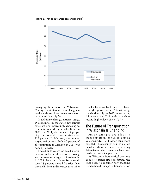**Figure 2. Trends in transit passenger trips**<sup>9</sup>



managing director of the Milwaukee County Transit System, these changes in service and fares "have been major factors in reduced ridership."<sup>14</sup>

In addition to changes in transit usage, Wisconsinites in the state's two largest cities are also increasingly choosing to commute to work by bicycle. Between 2000 and 2011, the number of people bicycling to work in Milwaukee grew 227 percent. In Madison, the number surged 147 percent. Fully 4.7 percent of all commuting in Madison in 2011 was done by bicycle.<sup>15</sup>

These trends toward increased interest in transit and other alternatives to driving are consistent with larger, national trends. In 2009, American 16- to 34-year-olds took 24 percent more bike trips than they did in 2001 and increased their miles

traveled by transit by 40 percent relative to eight years earlier.16 Nationally, transit ridership in 2012 increased by 1.5 percent over 2011 levels to reach its second-highest level since 1957.<sup>17</sup>

#### The Future of Transportation in Wisconsin Is Changing

Major changes are afoot in transportation behavior among Wisconsinites (and Americans more broadly). These changes point to a future in which there are fewer cars, being driven fewer miles, than might have been predicted just a few years ago.

As Wisconsin faces critical decisions about its transportation future, the state needs to consider how changing trends should reshape its transportation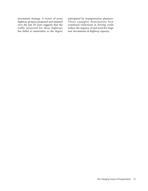investment strategy. A review of seven highway projects proposed and initiated over the last 20 years suggests that the traffic projected for those highways has failed to materialize to the degree anticipated by transportation planners. These examples demonstrate how continued reductions in driving could reduce the urgency of and need for large new investments in highway capacity.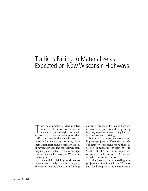## Traffic Is Failing to Materialize as Expected on New Wisconsin Highways

Time and again, the state has invested<br>hundreds of millions of dollars in<br>new and expanded highways based,<br>at least in part, on the assumption that ime and again, the state has invested hundreds of millions of dollars in new and expanded highways based, traffic on those highways will greatly increase. In many cases, however, those increases in traffic have not materialized, or have materialized far more slowly than originally anticipated – yet another sign that the demand for driving in Wisconsin is changing.

If demand for driving continues to grow more slowly than in the past, Wisconsin may be able to use funding currently proposed for major highway expansion projects to address growing highway repair needs and rising demand for alternatives to driving.

In this section, we review seven recent highway projects in Wisconsin – which, collectively, represent more than \$1 billion in taxpayer investment – to "reality check" the traffic projections originally made by WisDOT versus actual recent traffic counts.

Traffic forecasts for proposed highway projects are often found in the "Purpose and Need" chapters of the environmental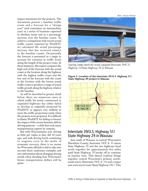impact statements for the projects. The documents present a baseline traffic count and a forecast for a "design year" (and sometimes an intermediary year) at a series of locations expressed in absolute terms and as a percentage increase over the baseline count. To achieve a comparison with recent actual traffic counts reported by WisDOT, we calculated the actual percentage increase that has occurred relative to the baseline counts. Occasionally the forecast is presented as a range to account for variation in traffic levels along the length of the project route. In these instances, this report compares the high end of the forecast with the actual count at the location along the highway with the highest traffic count and the low end of the forecast with the count at the location with the lowest actual traffic count to produce a range of actual traffic growth along the highway relative to the baseline.

As will be described in greater detail below, there are numerous cases in which traffic for newly constructed or expanded highways has either failed to develop as originally projected by WisDOT, or appears very unlikely to meet the traffic projections made when the projects were proposed. It is difficult to blame WisDOT for failing to foresee the impact of the recent dramatic shift in driving patterns – a shift that took many transportation experts by surprise.

But with Wisconsinites now driving as little per capita as they did 16 years ago, and with driving levels continuing to stagnate even in the midst of economic recovery, there is no excuse for Wisconsin officials to fail to take into account these cautionary examples and new information about changing driving trends when deciding how Wisconsin's future transportation dollars will be spent.

*Photo: Antonia McGinn*



*Soaring ramps mark the newly expanded Interstate 39/U.S. Highway 51/State Highway 29 in Wausau.* 

**Figure 3. Location of the Interstate 39/U.S. Highway 51/ State Highway 29 project in Wausau**



#### Interstate 39/U.S. Highway 51/ State Highway 29 in Wausau

Just south of Wausau, in central Wisconsin's Marathon County, Interstate 39/U.S. 51 meets State Highway 29 and the two highways head north together for approximately five miles until State Highway 29 breaks off to continue its journey west. This shared roadway brings together central Wisconsin's primary northsouth artery (Interstate 39/U.S. 51) and a major east-west travel route (State Highway 29).18 This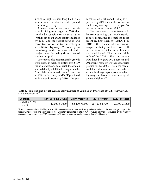stretch of highway sees long-haul truck volume as well as shorter local trips and commuting activity.

A major construction project on this stretch of highway began in 2004 that involved expansion to six total lanes (with room to expand to eight total lanes by 2020) and the reconfiguration and reconstruction of the two interchanges with State Highway 29, creating an interchange at the northern end of the project area featuring three tiers of soaring ramps.<sup>19</sup>

Projections of substantial traffic growth were used, in part, to justify this \$309 million endeavor and official documents warned that by 2020 the freeway would be "one of the busiest in the state." Based on a 1999 traffic count, WisDOT predicted an increase in traffic by 2010 – the year

construction work ended – of up to 41 percent. By 2020 the number of cars on the freeway was expected to be up to 66 percent greater than in 1999.20

The completed six-lane freeway is far from carrying that much traffic. In fact, comparing the smallest, most recent reading taken by WisDOT in 2010 to the low-end of the forecast range for that year, there were 3.8 percent fewer vehicles on the freeway than anticipated. The low and high ends of the 2010 traffic count range would need to grow by 24 percent and 70 percent, respectively, to meet official predictions by 2020. The most recent available traffic volumes on the road are within the design capacity of a four-lane highway and less than the capacity of the new highway.<sup>21</sup>

**Table 1. Projected and actual average daily number of vehicles on Interstate 39/U.S. Highway 51/ State Highway 29<sup>22</sup>** 

| Location                          | 1999 Baseline Count | <b>2010 Projected</b> | 2010 Actual*  | <b>2020 Projected</b> |
|-----------------------------------|---------------------|-----------------------|---------------|-----------------------|
| I-39/U.S. 51/St.<br><b>Hwy 29</b> | 40,000-56,000       | 52.400-78.800         | 50.400-54.900 | 62.300-93.200         |

\*Traffic counts conducted in May 2010. At this time some construction work remained outstanding on the interchange ramps at the northerly intersection. The entire project was ultimately completed in late 2010.<sup>23</sup> However, all other construction on the roadway was completed prior to 2010.<sup>24</sup> More recent traffic counts were not available at the time of publication.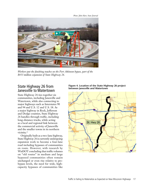*Photo: John Hart, State Journal*



*Workers put the finishing touches on the Fort Atkinson bypass, part of the \$433 million expansion of State Highway 26.* 

#### State Highway 26 from Janesville to Watertown

State Highway 26 ties together six communities, including Janesville and Watertown, while also connecting to major highways such as Interstates 90 and 94 and U.S. 12 and U.S. 18. As a major highway in Rock, Jefferson and Dodge counties, State Highway 26 handles through traffic, including long-distance trucks, while acting as a local and regional link between the commercial activity of Janesville and the smaller towns in its northern vicinity.<sup>25</sup>

Originally built as a two-lane highway, State Highway 26 is currently undergoing expansion work to become a four-lane road including bypasses of communities en route. However, with research by WisDOT concluding that traffic volumes on "old routes" in medium and large bypassed communities often remain unchanged or even rise relative to prebypass levels, the need for wide, highcapacity bypasses of communities like



#### **Figure 4. Location of the State Highway 26 project between Janesville and Watertown**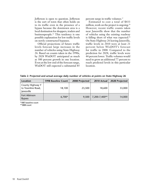Jefferson is open to question. Jefferson is the sort of town that often holds on to its traffic even in the presence of a bypass because the downtown area is a local destination for shoppers, traders and businesspeople.26 This tendency is one possible explanation for low traffic levels on newly constructed bypasses.

Official projections of future traffic levels forecast large increases in the number of vehicles using State Highway 26. Based on counts taken in the 1990s, by 2028 WisDOT anticipated as much as 300 percent growth in one location. Even at the low end of the forecast range, WisDOT still expected a substantial 85 percent surge in traffic volumes.<sup>27</sup>

Estimated to cost a total of \$433 million, work on the project is ongoing.<sup>28</sup> However, recent traffic counts taken near Janesville show that the number of vehicles using the existing roadway is falling short of what was expected.<sup>29</sup> On State Highway 26 leaving Janesville, traffic levels in 2010 were at least 21 percent below WisDOT's forecast for traffic in 2008. Compared to the prediction for 2028, traffic levels were 44 percent lower. Traffic volumes would need to grow an additional 77 percent to reach predicted levels in this particular location.

**Table 2. Projected and actual average daily number of vehicles at points on State Highway 26**

| Location                                            | 1998 Baseline Count | 2008 Projected | 2010 Actual   | 2028 Projected |
|-----------------------------------------------------|---------------------|----------------|---------------|----------------|
| County Highway Y<br>to Townline Road,<br>Janesville | 18,100              | 23,500         | 18,600        | 33,000         |
| Fort Atkinson<br><b>Bypass</b>                      | $6,700*$            | 9,500          | 7,200-7,400** | 14,000         |

\*1997 baseline count

\*\*2009 count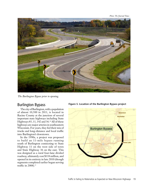*Photo: The Journal Times*



*The Burlington Bypass prior to opening.* 

#### Burlington Bypass

The city of Burlington, with a population of almost 10,500 in 2011, is located in Racine County at the junction of several important state highways including State Highways 83, 11, 142 and 36.<sup>30</sup> All of these highways are major arteries in southeastern Wisconsin. For years, they fed their mix of trucks and long-distance and local traffic into Burlington's downtown.

In the 1990s, a project was proposed to build an 11-mile bypass running south of Burlington connecting to State Highway 11 on the west side of town and State Highway 36 on the east. This was designed as a rural four-lane divided roadway, ultimately cost \$118 million, and opened in its entirety in late 2010 (though segments completed earlier began serving traffic in 2008).<sup>31</sup>

#### **Figure 5. Location of the Burlington Bypass project**

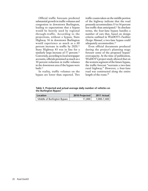Official traffic forecasts predicted substantial growth in traffic volumes and congestion in downtown Burlington, leading to expectations that a bypass would be heavily used by regional through-traffic. According to the projections, without a bypass, State Highway 36 in downtown Burlington would experience as much as a 60 percent increase in traffic by 2020.32 State Highway 83 was in line for a similarly large increase of 57 percent.<sup>33</sup> Conversely, according to local newspaper accounts, officials promised as much as a 30 percent reduction in traffic volumes in the downtown area if the bypass were built.34

In reality, traffic volumes on the bypass are lower than expected. Two

traffic counts taken on the middle portion of the highway indicate that the road presently accommodates 33 to 36 percent less traffic than anticipated.35 In absolute terms, the four-lane bypass handles a number of cars that, based on design criteria outlined in WisDOT's *Facilities Design Manual*, a two-lane bypass could adequately accommodate.36

Even official documents produced during the project's planning stage foresaw some of the proposed bypass' overcapacity. At the time of publication, WisDOT's project study allowed that on the western segment of the future bypass, the traffic forecast "warrants a two-lane rural highway." However, a four-lane road was constructed along the entire length of the route.<sup>38</sup>

**Table 3. Projected and actual average daily number of vehicles on the Burlington Bypass**<sup>37</sup>

| <b>Location</b>             | 2010 Projected | 2011 Actual |
|-----------------------------|----------------|-------------|
| Middle of Burlington Bypass | 11.000         | 7,000-7,400 |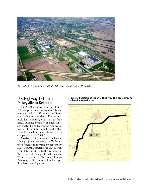

*The U.S. 151 bypass runs south of Platteville. Credit: City of Platteville*

#### U.S. Highway 151 from Dickeyville to Belmont

The \$100.3 million Dickeyville-to-Belmont project encompassed an 18-mile segment of U.S. 151 located in Grant and Lafayette counties.39 The project included widening U.S. 151 to four lanes, building bypasses of Dickeyville and Platteville, and managing road access to allow for uninterrupted travel with a 55 miles-per-hour speed limit. It was completed in late 2005.40

Based on traffic counts reported in the 1999 project documents, traffic levels were forecast to increase 60 percent by 2025 along this stretch of road.<sup>41</sup> Eleven years later in 2010, traffic volumes in the vicinity of Dickeyville had risen just 22 percent, while at Platteville, close to Belmont, traffic counts had inched up a little less than 13 percent.



**Figure 6. Location of the U.S. Highway 151 project from Dickeyville to Belmont**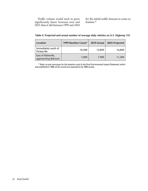Traffic volume would need to grow significantly faster between now and 2025 than it did between 1999 and 2010 for the initial traffic forecast to come to fruition.<sup>42</sup>

| Location                                    | 1999 Baseline Count* | 2010 Actual | 2025 Projected |
|---------------------------------------------|----------------------|-------------|----------------|
| Immediately south of<br>Dickeyville         | 10,500               | 12,800      | 16,800         |
| East of Platteville,<br>approaching Belmont | 7,000                | 7,900       | 11,200         |

**Table 4. Projected and actual number of average daily vehicles on U.S. Highway 151** 

\* Note: no year was given for the baseline count in the Final Environmental Impact Statement, which was published in 1999, so the counts are assumed to be 1999 counts.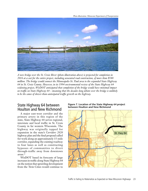*Photo illustration: Minnesota Department of Transportation*



*A new bridge over the St. Croix River (photo illustration above) is projected for completion in 2016 at a cost for the entire project, including associated road construction, of more than \$580 million. The bridge would connect the Minneapolis-St. Paul area to the expanded State Highway 64 in St. Croix County. However, in its 1994 environmental review of the State Highway 64 widening project, WisDOT anticipated that completion of the bridge would have minimal impact on traffic on State Highway 64 – meaning that the decades-long debate over the bridge is unlikely to be the cause of slower-than-anticipated traffic growth on the highway.*

#### State Highway 64 between Houlton and New Richmond

A major east-west corridor and the primary artery in this region of the state, State Highway 64 serves regional, interstate and local traffic in St. Croix County in far western Wisconsin. The highway was originally tapped for expansion in the state's *Corridors 2020* highway plan and the final proposal called for work along an approximately 15-mile corridor, expanding the existing roadway to four lanes as well as constructing bypasses of communities to divert through-traffic away from downtown areas.43

WisDOT based its forecasts of large increases in traffic along State Highway 64 on the notion that sprawling development from the Twin Cities would continue to



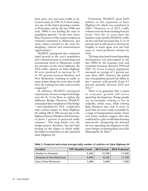draw more cars and more traffic to St. Croix County. In 1994, St. Croix County was one of the fastest growing counties in Wisconsin, and by the late 1990s and early 2000s it was leading the state in population growth.44 At the time, more than 30 percent of the county's employed residents commuted to Minnesota, and many others traveled to the state for shopping, cultural and entertainment opportunities.45

WisDOT anticipated that continued rapid growth in the area's population and a related increase in commuting and recreational travel to Minnesota would put pressure on the area's highways. By 2016 traffic volumes on State Highway 64 were predicted to increase by 75 to 101 percent between Houlton and New Richmond, resulting in traffic at many points along the route that would leave the existing two-lane road severely congested.46

In addition, WisDOT anticipated construction of a new or improved bridge over the St. Croix River to replace the Stillwater Bridge. However, WisDOT anticipated that completion of the bridge – now scheduled for 2016 – would have only a minor impact on State Highway 64, adding 200 to 300 cars per day to the highway between Houlton and Somerset, or about 1 percent of projected traffic volumes.47 The long debate over the bridge project, therefore, has had little bearing on the degree to which traffic has failed to materialize on the expanded State Highway 64.

Ultimately, WisDOT spent \$109 million on this expansion of State Highway 64, which was completed in 2006.48 However, as of 2012, traffic volumes were far from reaching forecast levels. Over the 21 years since the baseline count cited by WisDOT, traffic on the road had increased just 21 to 56 percent and would need to increase by roughly as much again over just four years to reach predicted volumes by 2016.

The long-time trend toward sprawling development was interrupted in the late 2000s by the housing crisis and economic recession. Between 1994 and 2007, St. Croix County's population increased an average of 3 percent per year. Since 2007, however, the annual rate of population growth has fallen to just 1 percent, with growth of just 0.5 percent annually between 2010 and 2012.49

There is no guarantee that a return to economic growth will revive sprawling development. Young people are increasingly seeking to live in walkable, urban areas, while retiring Baby Boomers may seek to move to areas that are more easily accessible by a range of transportation modes. Some real estate analysts suggest that this could lead to a glut of suburban housing nationwide, dampening the demand for new sprawling development on the outer fringes of metropolitan areas like Minneapolis-St. Paul.<sup>50</sup>

| Location                 | 1991 Baseline Count | 2012 Actual | 2016 Projected |
|--------------------------|---------------------|-------------|----------------|
| Houlton to Somerset      | 9.360               | 13,700      | 17,500         |
| Somerset to New Richmond | 6.690               | 8.100       | 11.700         |
| East of New Richmond     | 3,580               | 5.600       | 7.200          |

**Table 5. Projected and actual average daily number of vehicles on State Highway 64**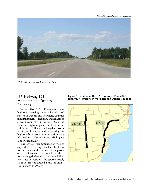

*U.S. 141 as it enters Marinette County.* 

#### U.S. Highway 141 in Marinette and Oconto **Counties**

In the 1990s, U.S. 141 was a two-lane highway traversing a predominantly rural stretch of Oconto and Marinette counties in northeastern Wisconsin. Designated as a major connector in *Corridors 2020*, the statewide highway plan completed in the 1980s, U.S. 141 carries long-haul truck traffic, local vehicles and those using the highway for access to the recreation areas of northern Wisconsin and Michigan's Upper Peninsula.<sup>51</sup>

The official recommendation was to expand the existing two-lane highway to four lanes and to construct bypasses of Lena, Coleman and Pound, the three towns along the length of the route.<sup>52</sup> Final construction costs for the approximately 16-mile project totaled \$68.1 million.53 Work ended in 2007.54

**Figure 8. Location of the U.S. Highway 141 and U.S. Highway 41 projects in Marinette and Oconto Counties**

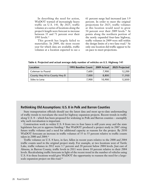In describing the need for action, WisDOT warned of increasingly heavy traffic on U.S. 141. By 2025, traffic volumes at a series of locations along the project's length were forecast to increase between 35 and 71 percent over their 1995 levels.<sup>55</sup>

This growth has largely failed to materialize. In 2009, the most recent year for which data are available, traffic volumes at a location expected to see a 61 percent surge had increased just 3.9 percent. In order to meet the original projections for 2025, traffic volumes at this location would need to grow 54 percent over their 2009 levels.<sup>56</sup> At points along the northern portion of the newly expanded four-lane highway, traffic volumes in 2009 were still within the design limits of a two-lane road.<sup>57</sup> At only one location did traffic appear to be on pace to meet projections.

| Table 6. Projected and actual average daily number of vehicles on U.S. Highway 141 |  |
|------------------------------------------------------------------------------------|--|
|------------------------------------------------------------------------------------|--|

| Location                     | 1995 Baseline Count | 2009 Actual | 2025 Projected |
|------------------------------|---------------------|-------------|----------------|
| Coleman to Pound             | 7.600               | 7.900       | 12,200         |
| County Hwy M to County Hwy B | 7.000               | 8.800       | 11,950         |
| Stiles to Lena               | 7.900               | 10,900      | 12,850         |

#### **Rethinking Old Assumptions: U.S. 8 in Polk and Barron Counties**

State transportation officials should use the latest data and most up-to-date understanding of traffic trends to reevaluate the need for highway expansion projects. Recent trends in traffic along U.S. 8 – which has been proposed for widening in Polk and Barron counties – exemplify why such reevaluation is important.

Construction work to widen U.S. 8 from two to four lanes is still years away and the state legislature has yet to approve funding.<sup>62</sup> But WisDOT produced a project study in 2007 citing future traffic volumes and a need for additional capacity as reasons for the project. By 2030 WisDOT forecasts an increase in traffic volumes of 35 to 55 percent relative to traffic counts taken in 2000 and 2004.<sup>63</sup>

Traffic volumes on U.S. 8 have, in fact, fallen in recent years relative to the 2000 and 2004 traffic counts used in the original project study. For example, at two locations west of Turtle Lake, traffic volumes in 2012 were 3.7 percent and 20 percent below 2004 levels. Just east of Almena, in Barron County, traffic levels in 2011 were down 10 percent relative to their 2004 levels. Recalculating traffic forecasts in light of the recent trend in the number of vehicles using U.S. 8 in these locations would give WisDOT the opportunity to reassess the need for a largescale expansion project on this road.<sup>64</sup>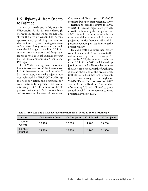#### U.S. Highway 41 from Oconto to Peshtigo

A major north-south highway in Wisconsin, U.S. 41 runs through Milwaukee, around Fond du Lac and skirts the city of Green Bay before approximately paralleling the western shore of Green Bay and entering Michigan at Marinette. Along its northern stretch near the Michigan state line, U.S. 41 carries interstate traffic and long-haul trucks as well as local vehicles moving between the communities of Oconto and Peshtigo.

In 1999, the state legislature allocated funds for roadwork on a 21-mile stretch of U.S. 41 between Oconto and Peshtigo.<sup>58</sup> Six years later, a formal project study was released by WisDOT outlining the need for action and a proposal for construction. In a project that would ultimately cost \$180 million, WisDOT proposed widening U.S. 41 to four lanes and constructing bypasses of downtown

Oconto and Peshtigo.<sup>59</sup> WisDOT completed work on this project in 2009.60

Relative to baseline counts in 2001, WisDOT forecast significant growth in traffic volumes by the design year of 2027. Overall, the number of vehicles using the highway on a typical day was projected to rise between 43 and 51 percent depending on location along the project route.<sup>61</sup>

By 2012 traffic volumes had barely risen. Just south of Oconto where traffic volumes were predicted to surge 51 percent by 2027, the number of vehicles using U.S. 41 in 2012 had inched up just 8 percent and still stood below even the 2007 projection. North of Peshtigo, at the northern end of the project area, traffic levels had climbed just 12 percent. Given current usage of the highway, WisDOT's traffic forecasts for 2027 are far from realization. The number of cars using U.S. 41 will need to grow an additional 28 to 40 percent to meet predicted levels by 2027.

| Location             | 2001 Baseline Count | 2007 Projected   2012 Actual   2027 Projected |        |        |
|----------------------|---------------------|-----------------------------------------------|--------|--------|
| South of<br>Oconto   | 10,400              | 12,000                                        | 11,200 | 15,700 |
| North of<br>Peshtigo | 14.900              | 16,900                                        | 16,700 | 21,300 |

**Table 7. Projected and actual average daily number of vehicles on U.S. Highway 41**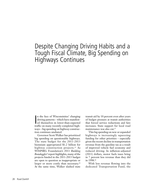## Despite Changing Driving Habits and a Tough Fiscal Climate, Big Spending on Highways Continues

In the face of Wisconsinites' changing<br>driving patterns – which have manifest-<br>ed themselves in lower-than-expected<br>traffic on many recently completed bigh driving patterns – which have manifested themselves in lower-than-expected traffic on many recently completed highways – big spending on highway construction continues unabated.

Governor Scott Walker has prioritized big spending on questionable highways. The state budget for the 2011-2013 biennium appropriated \$1.2 billion for highway construction projects.<sup>65</sup> As WISPIRG Foundation's 2011 *Building Boondoggles?* report highlights, many of the projects funded in the 2011-2013 budget are open to question as inappropriate or larger or more costly than necessary.<sup>66</sup> At the same time, Walker slashed state

transit aid by 10 percent even after years of budget pressure at transit authorities that forced service reductions and fare increases. State support for local road maintenance was also cut.<sup>67</sup>

This big spending on new or expanded highways is increasingly squeezing funding for other priorities – especially given the recent decline in transportation revenue from the gasoline tax as a result of improved vehicle fuel economy and reduced driving. In inflation-adjusted (2011) dollars, motor fuels taxes bring in 7 percent less revenue than they did in 1998.68

With less revenue flowing into the dedicated Transportation Fund, the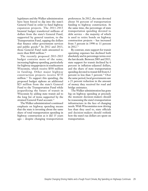legislature and the Walker administration have been forced to dip into the state's General Fund in order to fund highway expansion projects. The 2011-2013 biennial budget transferred millions of dollars from the state's General Fund, supported by general taxation, to the Transportation Fund, sapping the dollars that finance other government services and public goods.<sup>69</sup> In 2012 and 2013, those General Fund raids amounted to more than \$160 million.<sup>70</sup>

The recently proposed 2013-2015 budget contains more of the same, increasing highway spending, particularly for highway megaprojects in southeastern Wisconsin, which receive \$550 million in funding. Other major highway construction projects receive \$735 million.<sup>71</sup> To support this spending, the proposed budget siphons an additional \$23 million from the state's General Fund to the Transportation Fund while jeopardizing the future of transit in Wisconsin by adding state transit aid to the long list of items supported by the strained General Fund account.<sup>72</sup>

The Walker administration's continued emphasis on highway spending means that the state is investing about the same share of total transportation spending in highway construction as it did 15 years ago – despite changing transportation

preferences. In 2012, the state devoted about 56 percent of transportation funding to highway construction. At the same time, the percentage of state transportation spending devoted to debt service – the majority of which is used to retire bonds on highway construction projects – has increased from 5 percent in 1998 to 11 percent in 2012.73

By contrast, state support for transit operating expenses has declined both absolutely and in percentage terms over the last decade. Between 2003 and 2013, state support for transit declined by 6 percent in inflation-adjusted dollars, and the share of state transportation spending devoted to transit fell from 6.2 percent to less than 5 percent.74 Over the same period, local governments saw a 21 percent reduction in the amount of money they received for road and bridge assistance.

The Walker administration has gone big on highway spending at precisely the moment decision-makers should be reassessing the state's transportation infrastructure in the face of changing needs. With Wisconsinites now driving less than they used to, state officials and decision-makers should rethink how the state's tax dollars are spent on transportation.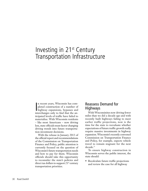## Investing in 21st Century Transportation Infrastructure

In recent years, Wisconsin has com-<br>pleted construction of a number of<br>highway expansions, bypasses and<br>interchanges only to find that the an n recent years, Wisconsin has completed construction of a number of interchanges only to find that the anticipated levels of traffic have failed to materialize. With Wisconsin residents – like most Americans – now driving less, state officials must factor changing driving trends into future transportation investment decisions.

With the release in January 2013 of the official report and recommendations of the Commission on Transportation Finance and Policy, public attention is currently focused on the question of Wisconsin's future transportation needs and how to pay for them. Wisconsin officials should take this opportunity to reconsider the state's policies and direct tax dollars to support  $21^{st}$  century transportation priorities.

#### Reassess Demand for Highways

With Wisconsinites now driving fewer miles than we did a decade ago and with recently built highways failing to meet earlier traffic projections, now is the time for the state to reevaluate whether expectations of future traffic growth really require massive investments in highway expansion. Wisconsin's recently convened Commission on Transportation Finance and Policy, for example, expects vehicle travel to remain stagnant for the next decade.75

To ensure highway construction in Wisconsin serves the public interest, the state should:

• Recalculate future traffic projections and review the case for all highway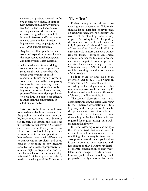construction projects currently in the pre-construction phase. In light of new information, highway projects like U.S. 8, discussed above, may no longer warrant the full-scale expansion originally proposed. To his credit, Governor Walker recommended such a review of major highway construction projects in his 2013-2015 budget proposal.76

- Require that all proposals for new roads and expansion projects include the most recent population growth and traffic volume data available.
- Acknowledge that future driving trends are uncertain and prioritize solutions that will deliver benefits under a wide variety of possible scenarios of future traffic growth. In some cases, the installation of passing lanes, traffic demand management strategies or expansion of carpooling, transit or other alternatives may prove sufficient to mitigate problems on a roadway in a more cost-effective manner than the construction of additional capacity.77

Wisconsin is far from the only state to experience declining revenue from the gasoline tax at the same time that highway repair needs and demands for transit, pedestrian and bicycling infrastructure are increasing. States such as Tennessee and Pennsylvania have adopted or considered changes to their transportation investment practices that have eschewed "one size fits all" solutions to transportation problems and pared back their spending on new highway capacity.78 Gov. Walker's proposed review of major highway projects is a good first step, but much more can be done to align Wisconsin's highway program with the needs and challenges of the 21st century.

#### "Fix it First"

Rather than pouring millions into new highway construction, Wisconsin should adopt a "fix it first" policy focused on repairing (and, where necessary and cost-effective, rebuilding) roads already in place. According to a 2013 report by the American Society of Civil Engineers, fully 71 percent of Wisconsin's roads are of "mediocre" or "poor" quality.79 Road disrepair leads to more than just a bumpy ride for drivers – through accelerated depreciation, reduced fuel economy, and increased damage to tires and suspension, it costs vehicle owners money. Each year Wisconsinites pay \$281 in additional vehicle operating costs due to the state of their roads.<sup>80</sup>

Badger State bridges also need attention. All told, 1,142 bridges in Wisconsin are "structurally deficient" according to federal guidelines.<sup>81</sup> This represents approximately one in every 12 bridges statewide and a daily traffic count of almost 3.5 million vehicles.82

The sooner Wisconsin attends to its deteriorating roads, the better. According to the American Association of State Highway and Transportation Officials, the per-lane-mile cost of rebuilding a road after 25 years of neglect is three times as high as the financial commitment required for regular upkeep on a wellmaintained highway.83

In some cases, highways and bridges that have outlived their useful lives will need to be rebuilt, not just repaired. The rebuilding of a highway is often seen as an opportunity to add new capacity, since it can be done at lower cost and with less disruption than having to undertake a separate construction project years later. Given changing trends in driving, however, public officials should eye such proposals critically to ensure that public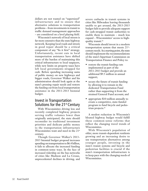dollars are not wasted on "supersized" infrastructure and to ensure that alternative solutions to transportation problems – from investments in transit to traffic demand management approaches – are considered on a level playing field.

Wisconsin's network of local streets is far more extensive than the state highway network. Keeping local roads and streets in good repair should be a critical component of any "fix it first" strategy. Unfortunately, recent cuts in local transportation assistance have shifted more of the burden of maintaining this critical infrastructure to local taxpayers, while new limits on property taxes have left local governments strapped for cash. Before spending increasing sums of public money on new highways and bigger roads, Governor Walker and his administration should look again at the state's pressing repair needs and restore the funding cut from local transportation assistance in the 2011-2013 biennial budget.

#### Invest in Transportation Solutions for the 21<sup>st</sup> Century

With Wisconsinites driving less and recently completed highway projects serving traffic volumes lower than originally anticipated, the state should reconsider its traditional investment priorities and dedicate public money to the transportation infrastructure Wisconsinites want and need in the 21<sup>st</sup> century.

Though Governor Walker's 2013- 2015 biennial budget proposal increases spending on transportation to \$6.4 billion, it fails to allocate the increased funding in common-sense ways. In the face of increased ridership on the bus networks of cities like Madison and La Crosse, unprecedented declines in driving, and

severe cutbacks in transit systems in cities like Milwaukee leaving thousands unable to get around, the 2013-2015 budget fails to provide adequate support for cash-strapped transit authorities to enable them to maintain – much less expand – Wisconsinites' access to highquality transit.84

Wisconsin should invest in a modern transportation system that meets  $21^{st}$ century needs. As a starting point, the state should implement the recommendations of the state's bipartisan Commission on Transportation Finance and Policy to:

- restore the transit funding cuts implemented as part of the 2011-2013 budget and provide an additional \$9.5 million in annual support;
- secure the future of transit funding by allowing it to remain in the dedicated Transportation Fund rather than supporting it from the strained General Fund account; and
- appropriate \$10 million annually to create a competitive, state-funded program to fund bicycle and pedestrian projects.<sup>85</sup>

A modest reduction in Wisconsin's bloated highway budget would fulfill these common-sense reforms that reflect the changing travel trends of Wisconsinites.

With Wisconsin's population of older, more transit-dependent residents growing and an increasing desire to use transportation alternatives among younger people, investing in the state's transit systems and bicycle and pedestrian facilities is crucial if the state's transportation infrastructure is to keep pace with the changing needs of Wisconsinites.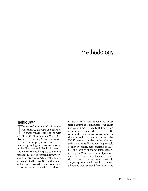## Methodology

#### Traffic Data

The central findings of this report<br>were derived through a comparison<br>of traffic volume projections with<br>actual traffic volume counts. WisDOT's he central findings of this report were derived through a comparison of traffic volume projections with Traffic Forecasting Section develops traffic volume projections for use in highway planning and these are reported in the "Purpose and Need" chapters of the environmental impact statements produced as part of formal highway construction proposals. Actual traffic counts are conducted by WisDOT at thousands of locations across the state. Some locations use automatic traffic recorders to

measure traffic continuously but most traffic counts are conducted over short periods of time – typically 48 hours – on a three-year cycle. More than 26,000 rural and urban locations are used for these periodic, short-term counts. Wis-DOT presents the data collected using an interactive traffic count map, printable county-by-county maps available as PDF files and through an online database managed by the Wisconsin Traffic Operations and Safety Laboratory. This report used the most recent traffic counts available and, except where indicated in footnotes, all counts were sourced from the state's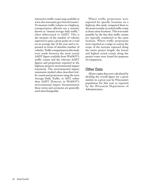interactive traffic count map available at www.dot.wisconsin.gov/travel/counts/. To measure traffic volume on a highway, transportation officials use a statistic known as "annual average daily traffic," often abbreviated to AADT. This is the measure of the number of vehicles expected to pass a given point on a road on an average day of the year and is expressed in terms of absolute number of vehicles. Traffic comparisons in this study were made between the most recent AADT figure available from WisDOT's traffic counts and the relevant AADT figures and projections reported in the highway project's environmental impact statement. The environmental impact statements studied often described traffic counts and projections using the term Average Daily Traffic, or ADT, rather than AADT. However, in WisDOT's environmental impact documentation these terms and acronyms are generally used interchangeably.

Where traffic projections were reported for specific locations on a highway, this study compared them to the most recently recorded traffic count at those same locations. This was made possible by the fact that traffic counts are typically conducted at the same location. Where traffic projections were reported as a range to convey the scope of the increase expected along the entire project length, the lowest and highest actual counts along the project route were found for purposes of comparison.

#### Other Data

All per-capita data were calculated by dividing the overall figure for a given statistic in a given year by Wisconsin's population for that year as reported by the Wisconsin Department of Administration.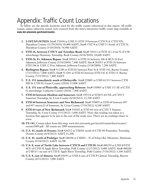## Appendix: Traffic Count Locations

To follow are the specific locations used for the traffic counts referenced in this report. All traffic counts, unless otherwise noted, were sourced from the state's interactive traffic count map available at **www.dot.wisconsin.gov/travel/counts/.**

- **1. I-39/US51/STH29:** Site# 370104 at USH 51 STH 29 between CTH N & CTH NN, Marathon County (11/29/2010): 50,400 AADT; Site# 370274 at USH 51 South of CTH N, Marathon County (5/10/2010): 54,900 AADT.
- **2. STH 26, between CTH Y and Townline Road:** Site# 530111 at STH 26 1.0 mi N of I-90 interchange Harmony Township, Rock County (4/26/2010): 18,600 AADT.
- **3. STH 26, Ft. Atkinson Bypass**: Site# 281011 at STH 26 between 106 & BUS 26 Fort Atkinson, Jefferson County (5/18/2009): 7,400 AADT; Site # 281015 at STH 26 between STH 106 & USH 12 Fort Atkinson, Jefferson County (5/18/2009): 7,200 AADT.
- **4. Burlington Bypass:** Site# 511280 at STH 83 between Pine St & STH 142, Racine County (7/25/2011): 7,000 AADT; Site# 511281 at STH 83 between STH 142 & STH 11, Racine County (7/25/2011): 7,400 AADT.
- **5. U.S. 151 immediately south of Dickeyville**: Site# 220885 at USH 61/151 between CTH HH & CTH H, Grant County (2010): 12,800 AADT.
- **6. U.S. 151 east of Platteville, approaching Belmont**: Site# 330905 at USH 151 SE of CTH G interchange, Lafayette County (2010): 7,900 AADT.
- **7. STH 64 between Houlton and Somerset:** Site# 550724 at STH35-64 NE of CTH V Somerset Township, St. Croix County (6/18/2012): 13,700 AADT.
- **8. STH 64 between Somerset and New Richmond:** Site# 550893 at STH 64 between 89<sup>th</sup> and 85th streets E of Somerset, St. Croix County (7/16/2012): 8,100 AADT.
- **9. STH 64 east of New Richmond:** Site# 550102 at STH 64 west of CTH T Stanton Township, St. Croix County (5/1/2012): 5,600 AADT. Note: this reading was taken at a location that appears to be just to the east of the study area. There are no readings closer to town.
- **10. US 141,** Counts taken from this map: www.dot.wisconsin.gov/travel/counts/docs/oconto/ oconto2009.pdf All counts are 2009 measurements.
- **11. U.S. 41, south of Oconto:** Site# 420252 at USH41 north of CTH SS Pensaukee Township, Oconto County (6/4/2012): AADT 11,200.
- **12. U.S. 41, north of Peshtigo:** Site# 386106 at USH41 N of Schact Rd. Marinette, Marinette County (9/18/2012): AADT 16,700.
- **13. U.S. 8, west of Turtle Lake between CTH D and CTH H:** Site# 480250 at USH 8/STH 46 E of CTH H Apple River Township, Polk County (11/5/2012): 9,000 AADT; Site# 480260 at USH 8 1 mi east of CTH E Apple River Township, Polk County (7/16/2012): 5,100 AADT.
- **14. U.S. 8, east of Almena:** Site# 030391 at USH 8 east of CTH P Clinton Township, Barron County (6/21/2011): 7,000 AADT.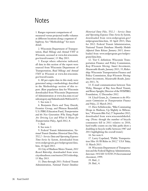### **Notes**

1. Ranges represent comparisons of measured versus projected traffic volumes at different locations along a segment of highway. See "Methodology" for more detail.

2. Wisconsin Department of Transportation, *Road Mileage and Annual VMT in Wisconsin*, accessed at www.dot.wisconsin. gov/travel/counts/, 13 May 2013.

3. Except where otherwise indicated, all data in this section of the report were sourced from Wisconsin Department of Transportation, *Road Mileage and Annual VMT in Wisconsin* at www.dot.wisconsin. gov/travel/counts.

4. All per-capita data in this study were generated using a methodology described in the Methodology section of this report. (Raw population data for Wisconsin downloaded from Wisconsin Department of Administration at www.doa.state.wi.us/ subcategory.asp?linksubcatid=96&locid=9.)

5. See note 2.

6. Benjamin Davis and Tony Dutzik, Frontier Group, and Phineas Baxandall, U.S. PIRG Education Fund, *Transportation and the New Generation: Why Young People Are Driving Less and What It Means for Transportation Policy*, April 2012, 8.

7. Ibid.

8. See note 2.

9. Federal Transit Administration, *National Transit Database Historical Data Files, TS2.2 - Service Data and Operating Expenses Time-Series by System*, downloaded from www.ntdprogram.gov/ntdprogram/data. htm, 10 April 2013.

10. City of Madison Metro Transit, *2011 Record Ridership*, downloaded from www. cityofmadison.com/metro/2011ridership, 13 May 2013.

11. Data through 2011: Federal Transit Administration, *National Transit Database*  *Historical Data Files, TS2.2 - Service Data and Operating Expenses Time-Series by System*, downloaded from www.ntdprogram.gov/ ntdprogram/data.htm, 10 April 2013; Data for 2012: Federal Transit Administration, National Transit Database *Monthly Module Adjusted Data Release January 2013*, downloaded from www.ntdprogram.gov/ntdprogram/data.htm.

12. Tier C definition: Wisconsin Transportation Finance and Policy Commission, *Keep Wisconsin Moving: Smart Investments, Measureable Results*, January 2013, 35; Ridership: Wisconsin Transportation Finance and Policy Commission, *Keep Wisconsin Moving: Smart Investments, Measureable Results*, January 2013, 76.

13. E-mail communication between Tom Waby, Manager of Bay Area Rural Transit, and Bruce Speight, Director of the WISPIRG Foundation, 12 December 2012.

14. Lloyd Grant, Jr., *Comments to the Wisconsin Commission on Transportation Finance and Policy*, 22 March 2012.

15. Dave Schlabowske, "Bike Commuting Drops in Madison, Up Slightly in Milwaukee," *Wisconsin Bike Fed*, 27 September 2012, downloaded from www.wisconsinbikefed. org. (Note: though the number of bicycle commuters fell in 2011 relative to 2010, hard traffic counts on city bike paths show a doubling in bicycle traffic between 1987 and 2011 highlighting the overall trend.)

16. See note 6.

17. Larry Copeland, "Public Transportation Hits 10.5B Rides in 2012," *USA Today*, 11 March 2013.

18. Wisconsin Department of Transportation and the Federal Highway Administration, *Interstate 39/USH 51/STH 29 Environmental Assessment*, 1999.

<sup>19.</sup> Ibid., 2. 20. Ibid., 4.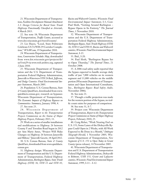21. Wisconsin Department of Transportation, *Facilities Development Manual Attachment 1.1: Design Criteria for Rural State Trunk Highways Functionally Classified as Arterials*, 4 March 2013.

22. See note 18; Wisconsin Department of Transportation, *Traffic Counts*, accessed at www.dot.wisconsin.gov/travel/counts/.

23. Liz Hayes, "Local, State Politicians Celebrate US 51/WIS 29 Corridor Completion," *WSAW.com*, 19 September 2010.

24. Wisconsin Department of Transportation, *Construction Schedule: Map*, downloaded from www.dot.wisconsin.gov/projects/dr/ us51wis29 via www.web.archive.org, captured 2 June 2010.

25. Wisconsin Department of Transportation and the U.S. Department of Transportation Federal Highway Administration, *Janesville to Watertown STH 26 Rock, Jefferson, and Dodge Counties: Final Environmental Impact Statement*, March 2005.

26. Population: U.S. Census Bureau, *State & County QuickFacts*, downloaded from www. quickfacts.census.gov; research on bypasses: Wisconsin Department of Transportation, *The Economic Impacts of Highway Bypasses on Communities: Summary*, January 1998, 4.

27. See note 25.

28. Wisconsin Department of Transportation, *Report to the Transportation Projects Commission on the Status of Major Highway Projects*, February 2013, 11.

29. Work on a series of smaller installations and modifications to Highway 26 between County Y and Townline Road began in 2012 per Ann Marie Ames, "Project Will Make Changes on Highway 26 between Janesville and Milton," *Janesville Gazette*, 18 April 2012.

30. U.S. Census Bureau, *State & County QuickFacts*, downloaded from www.quickfacts. census.gov.

31. Highway design: Wisconsin Department of Transportation and the U.S. Department of Transportation, Federal Highway Administration, *Burlington Bypass, State Trunk Highway (STH) 36, STH 11 and STH 83,* 

*Racine and Walworth Counties, Wisconsin: Final Environmental Impact Statement*, I-3; Cost: Paul Sloth, "Getting Around Burlington – Bypass Opens in Its Entirety," *The Journal Times*, 1 November 2010.

32. Wisconsin Department of Transportation and the U.S. Department of Transportation Federal Highway Administration, *Burlington Bypass, State Trunk Highway (STH) 36, STH 11 and STH 83, Racine and Walworth counties, Wisconsin: Final Environmental Impact Statement*, I-15.

33. Ibid., I-20.

34. Paul Sloth, "Burlington Bypass Set to Open Thursday," *The Journal Times*, 21 October 2008.

35. A 2006 road safety audit reported that the bypass expected to handle average daily traffic of just 7,000 vehicles on its western segment and 11,000 vehicles on the middle portion (Wisconsin Department of Transportation and Opus International Consultants, Inc., *Burlington Bypass: Road Safety Audit*, November 2006).

36. See note 21.

37. Though a traffic projection was made for the western portion of the bypass, no traffic count exists for purposes of comparison.

38. See note 31, S-7.

39. Project cost: Wisconsin Department of Transportation, *Report to the Transportation Projects Commission on Status of Major Highway Projects,* February 2010, 25.

40. Craig Reber, "Work Nearing End on U.S. 151; Some Lanes of the Dickeyville Bypass Could Open in 2 Weeks, with All Work Expected to Be Done in a Month," *Dubuque Telegraph-Herald*, 1 November 2005; Wisconsin Department of Transportation, *New Segments of U.S. 151 to Open Today in Grant County* (press release), 14 November 2005.

41. Wisconsin Department of Transportation and U.S. Department of Transportation Federal Highway Administration, *Dickeyville to Belmont, USH 151, Grant and Lafayette counties, Wisconsin: Final Environmental Impact Statement*, 1999, I-11 – I-12.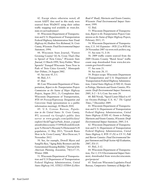42. Except where otherwise noted, all recent AADT data used in this study were sourced from WisDOT using their online traffic mapping tool available at: trust.dot. state.wi.us/roadrunner/.

43. Wisconsin Department of Transportation and U.S. Department of Transportation Federal Highway Administration *State Trunk Highway 64, Houlton-New Richmond, St. Croix County, Wisconsin: Final Environmental Impact Statement*, 1994.

44. Wisconsin State Journal, "Fastest Growing County? It's St. Croix That's Due to Sprawl of Twin Cities," *Wisconsin State Journal*, 13 March 1999; Terry Fielder, "River Sprawls? Tranquil Wisconsin Town Now in Path of Twin Cities Growth," *Minneapolis Star-Tribune*, 24 August 2002.

45. See note 43, I-1.

46. Ibid., I-5.

47. Ibid.

48. Cost: Wisconsin Department of Transportation, *Report to the Transportation Projects Commission on the Status of Major Highway Projects*, August 2011, 21; Completion date: Wisconsin Department of Transportation, *WIS 64 Freeway/Expressway Designation and Conversion Study* (presentation to a public information meeting), 10 March 2010.

49. U.S. Census Bureau, *Population in the United States: St. Croix County, WI*, accessed via Google's public data server at www.google.com/publicdata/ explore?ds=kf7tgg1uo9ude\_&met\_y=popul ation&idim=county:55109&dl=en&hl=en& q=st.%20croix%20county%20wisconsin%20 population, 13 May 2013; "Growth Rates Slow in St. Croix County," *RiverTowns.net*, 9 November 2012.

50. See, for example, Dowell Myers and SungHo Ryu, "Aging Baby Boomers and the Generational Housing Bubble," *Journal of the American Planning Association*, 74(1):17-33, Winter 2008.

51. Wisconsin Department of Transportation and U.S Department of Transportation Federal Highway Administration, *United States Highway 141, STH22-STH64 (LeMere* 

*Road-6th Road), Marinette and Oconto Counties, Wisconsin: Final Environmental Impact Statement*, 1999.

52. Ibid.

53. Wisconsin Department of Transportation, *Report to the Transportation Projects Commission on the Status of Major Highway Projects*, February 2013, 15.

54. Wisconsin Department of Transportation, *U.S. 141 Expansion – WIS 22 to WIS 64*, 28 November 2007 via www.web.archive.org.

55. See note 51, I-18.

56. 2009 traffic counts sourced from the 2009 Oconto County "Rural Areas" traffic count map downloaded from www.dot.wisconsin.gov/travel/counts/.

57. See note 21.

58. See note 28, 15.

59. Project scope: Wisconsin Department of Transportation and U.S. Department of Transportation Federal Highway Administration, *United States Highway (USH) 41, Oconto to Peshtigo, Marinette and Oconto Counties, Wisconsin: Draft Environmental Impact Statement*, 2005, S-2 – S-3; Cost: See note 28.

60. Bill Novak, "Speed Limit Hiked to 65 on Oconto-Peshtigo U.S. 41," *The Capital Times*, 7 December 2009.

61. Wisconsin Department of Transportation and U.S. Department of Transportation Federal Highway Administration, *United States Highway (USH) 41, Oconto to Peshtigo, Marinette and Oconto Counties, Wisconsin: Draft Environmental Impact Statement*, 2005, I-4.

62. Wisconsin Department of Transportation and U.S. Department of Transportation Federal Highway Administration, *United States Highway 8, WIS 35 (N) to US 53, Polk and Barron Counties: Final Environmental Impact Statement and Draft Section 4(f) Evaluation*, 2007, ES-15.

63. Ibid., I-12.

64. Wisconsin Department of Transportation, *Tier 1, US 8 Environmental Impact Statement*, downloaded from www.dot.wisconsin. gov/projects/

65. Total cost: Wisconsin Legislative Fiscal Bureau, *Comparative Summary of Budget Rec-*